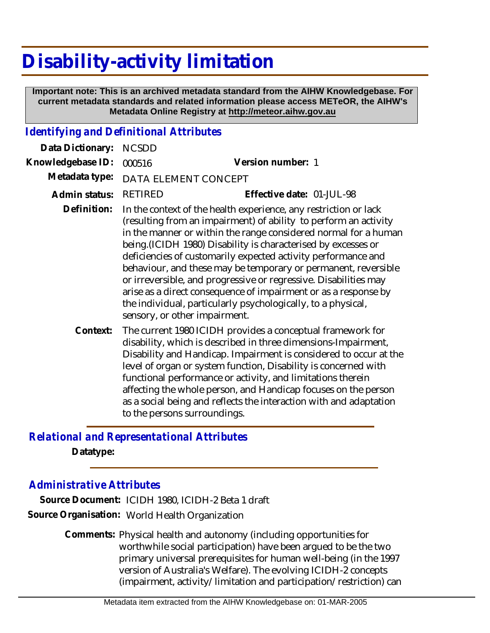## **Disability-activity limitation**

 **Important note: This is an archived metadata standard from the AIHW Knowledgebase. For current metadata standards and related information please access METeOR, the AIHW's Metadata Online Registry at http://meteor.aihw.gov.au**

## *Identifying and Definitional Attributes*

| Data Dictionary:  | <b>NCSDD</b>                                                                                                                                                                                                                                                                                                                                                                                                                                                                                                                                                                                                                                         |                                                                                                                                                                                                                                                                                                                                                                                                                                                                                                             |
|-------------------|------------------------------------------------------------------------------------------------------------------------------------------------------------------------------------------------------------------------------------------------------------------------------------------------------------------------------------------------------------------------------------------------------------------------------------------------------------------------------------------------------------------------------------------------------------------------------------------------------------------------------------------------------|-------------------------------------------------------------------------------------------------------------------------------------------------------------------------------------------------------------------------------------------------------------------------------------------------------------------------------------------------------------------------------------------------------------------------------------------------------------------------------------------------------------|
| Knowledgebase ID: | 000516                                                                                                                                                                                                                                                                                                                                                                                                                                                                                                                                                                                                                                               | Version number: 1                                                                                                                                                                                                                                                                                                                                                                                                                                                                                           |
| Metadata type:    | DATA ELEMENT CONCEPT                                                                                                                                                                                                                                                                                                                                                                                                                                                                                                                                                                                                                                 |                                                                                                                                                                                                                                                                                                                                                                                                                                                                                                             |
| Admin status:     | <b>RETIRED</b>                                                                                                                                                                                                                                                                                                                                                                                                                                                                                                                                                                                                                                       | Effective date: 01-JUL-98                                                                                                                                                                                                                                                                                                                                                                                                                                                                                   |
| Definition:       | In the context of the health experience, any restriction or lack<br>(resulting from an impairment) of ability to perform an activity<br>in the manner or within the range considered normal for a human<br>being. (ICIDH 1980) Disability is characterised by excesses or<br>deficiencies of customarily expected activity performance and<br>behaviour, and these may be temporary or permanent, reversible<br>or irreversible, and progressive or regressive. Disabilities may<br>arise as a direct consequence of impairment or as a response by<br>the individual, particularly psychologically, to a physical,<br>sensory, or other impairment. |                                                                                                                                                                                                                                                                                                                                                                                                                                                                                                             |
| Context:          |                                                                                                                                                                                                                                                                                                                                                                                                                                                                                                                                                                                                                                                      | The current 1980 ICIDH provides a conceptual framework for<br>disability, which is described in three dimensions-Impairment,<br>Disability and Handicap. Impairment is considered to occur at the<br>level of organ or system function, Disability is concerned with<br>functional performance or activity, and limitations therein<br>affecting the whole person, and Handicap focuses on the person<br>as a social being and reflects the interaction with and adaptation<br>to the persons surroundings. |

## *Relational and Representational Attributes*

**Datatype:**

## *Administrative Attributes*

**Source Document:** ICIDH 1980, ICIDH-2 Beta 1 draft **Source Organisation:** World Health Organization

> Comments: Physical health and autonomy (including opportunities for worthwhile social participation) have been argued to be the two primary universal prerequisites for human well-being (in the 1997 version of Australia's Welfare). The evolving ICIDH-2 concepts (impairment, activity/limitation and participation/restriction) can